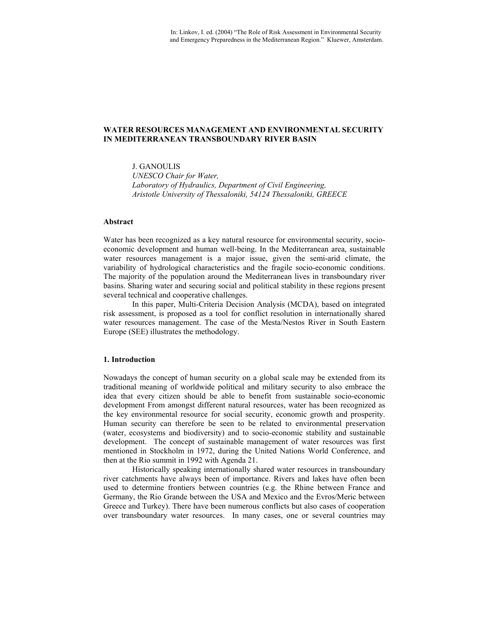## **WATER RESOURCES MANAGEMENT AND ENVIRONMENTAL SECURITY IN MEDITERRANEAN TRANSBOUNDARY RIVER BASIN**

J. GANOULIS

*UNESCO Chair for Water, Laboratory of Hydraulics, Department of Civil Engineering, Aristotle University of Thessaloniki, 54124 Thessaloniki, GREECE* 

### **Abstract**

Water has been recognized as a key natural resource for environmental security, socioeconomic development and human well-being. In the Mediterranean area, sustainable water resources management is a major issue, given the semi-arid climate, the variability of hydrological characteristics and the fragile socio-economic conditions. The majority of the population around the Mediterranean lives in transboundary river basins. Sharing water and securing social and political stability in these regions present several technical and cooperative challenges.

 In this paper, Multi-Criteria Decision Analysis (MCDA), based on integrated risk assessment, is proposed as a tool for conflict resolution in internationally shared water resources management. The case of the Mesta/Nestos River in South Eastern Europe (SEE) illustrates the methodology.

### **1. Introduction**

Nowadays the concept of human security on a global scale may be extended from its traditional meaning of worldwide political and military security to also embrace the idea that every citizen should be able to benefit from sustainable socio-economic development From amongst different natural resources, water has been recognized as the key environmental resource for social security, economic growth and prosperity. Human security can therefore be seen to be related to environmental preservation (water, ecosystems and biodiversity) and to socio-economic stability and sustainable development. The concept of sustainable management of water resources was first mentioned in Stockholm in 1972, during the United Nations World Conference, and then at the Rio summit in 1992 with Agenda 21.

 Historically speaking internationally shared water resources in transboundary river catchments have always been of importance. Rivers and lakes have often been used to determine frontiers between countries (e.g. the Rhine between France and Germany, the Rio Grande between the USA and Mexico and the Evros/Meric between Greece and Turkey). There have been numerous conflicts but also cases of cooperation over transboundary water resources. In many cases, one or several countries may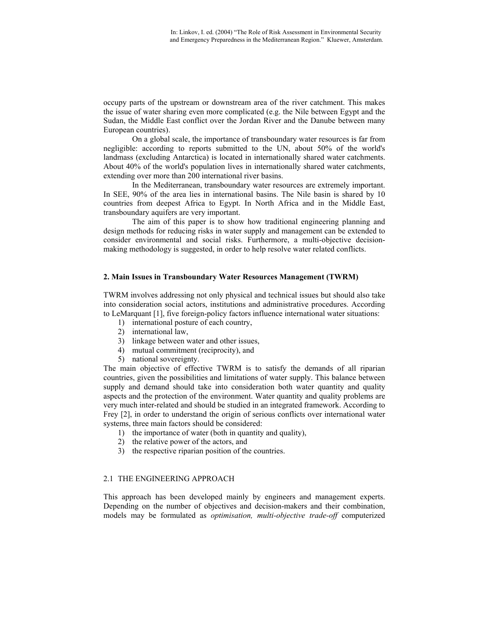occupy parts of the upstream or downstream area of the river catchment. This makes the issue of water sharing even more complicated (e.g. the Nile between Egypt and the Sudan, the Middle East conflict over the Jordan River and the Danube between many European countries).

 On a global scale, the importance of transboundary water resources is far from negligible: according to reports submitted to the UN, about 50% of the world's landmass (excluding Antarctica) is located in internationally shared water catchments. About 40% of the world's population lives in internationally shared water catchments, extending over more than 200 international river basins.

In the Mediterranean, transboundary water resources are extremely important. In SEE, 90% of the area lies in international basins. The Nile basin is shared by 10 countries from deepest Africa to Egypt. In North Africa and in the Middle East, transboundary aquifers are very important.

 The aim of this paper is to show how traditional engineering planning and design methods for reducing risks in water supply and management can be extended to consider environmental and social risks. Furthermore, a multi-objective decisionmaking methodology is suggested, in order to help resolve water related conflicts.

# **2. Main Issues in Transboundary Water Resources Management (TWRM)**

TWRM involves addressing not only physical and technical issues but should also take into consideration social actors, institutions and administrative procedures. According to LeMarquant [1], five foreign-policy factors influence international water situations:

- 1) international posture of each country,
- 2) international law,
- 3) linkage between water and other issues,
- 4) mutual commitment (reciprocity), and
- 5) national sovereignty.

The main objective of effective TWRM is to satisfy the demands of all riparian countries, given the possibilities and limitations of water supply. This balance between supply and demand should take into consideration both water quantity and quality aspects and the protection of the environment. Water quantity and quality problems are very much inter-related and should be studied in an integrated framework. According to Frey [2], in order to understand the origin of serious conflicts over international water systems, three main factors should be considered:

- 1) the importance of water (both in quantity and quality),
- 2) the relative power of the actors, and
- 3) the respective riparian position of the countries.

# 2.1 THE ENGINEERING APPROACH

This approach has been developed mainly by engineers and management experts. Depending on the number of objectives and decision-makers and their combination, models may be formulated as *optimisation, multi-objective trade-off* computerized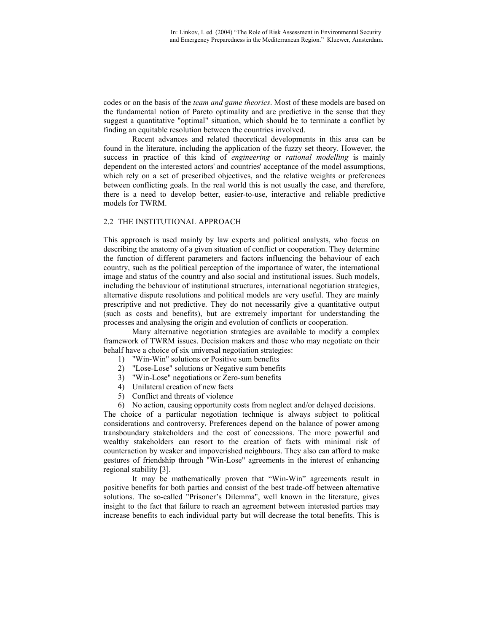codes or on the basis of the *team and game theories*. Most of these models are based on the fundamental notion of Pareto optimality and are predictive in the sense that they suggest a quantitative "optimal" situation, which should be to terminate a conflict by finding an equitable resolution between the countries involved.

Recent advances and related theoretical developments in this area can be found in the literature, including the application of the fuzzy set theory. However, the success in practice of this kind of *engineering* or *rational modelling* is mainly dependent on the interested actors' and countries' acceptance of the model assumptions, which rely on a set of prescribed objectives, and the relative weights or preferences between conflicting goals. In the real world this is not usually the case, and therefore, there is a need to develop better, easier-to-use, interactive and reliable predictive models for TWRM.

## 2.2 THE INSTITUTIONAL APPROACH

This approach is used mainly by law experts and political analysts, who focus on describing the anatomy of a given situation of conflict or cooperation. They determine the function of different parameters and factors influencing the behaviour of each country, such as the political perception of the importance of water, the international image and status of the country and also social and institutional issues. Such models, including the behaviour of institutional structures, international negotiation strategies, alternative dispute resolutions and political models are very useful. They are mainly prescriptive and not predictive. They do not necessarily give a quantitative output (such as costs and benefits), but are extremely important for understanding the processes and analysing the origin and evolution of conflicts or cooperation.

 Many alternative negotiation strategies are available to modify a complex framework of TWRM issues. Decision makers and those who may negotiate on their behalf have a choice of six universal negotiation strategies:

- 1) "Win-Win" solutions or Positive sum benefits
- 2) "Lose-Lose" solutions or Negative sum benefits
- 3) "Win-Lose" negotiations or Zero-sum benefits
- 4) Unilateral creation of new facts
- 5) Conflict and threats of violence
- 6) No action, causing opportunity costs from neglect and/or delayed decisions.

The choice of a particular negotiation technique is always subject to political considerations and controversy. Preferences depend on the balance of power among transboundary stakeholders and the cost of concessions. The more powerful and wealthy stakeholders can resort to the creation of facts with minimal risk of counteraction by weaker and impoverished neighbours. They also can afford to make gestures of friendship through "Win-Lose" agreements in the interest of enhancing regional stability [3].

 It may be mathematically proven that "Win-Win" agreements result in positive benefits for both parties and consist of the best trade-off between alternative solutions. The so-called "Prisoner's Dilemma", well known in the literature, gives insight to the fact that failure to reach an agreement between interested parties may increase benefits to each individual party but will decrease the total benefits. This is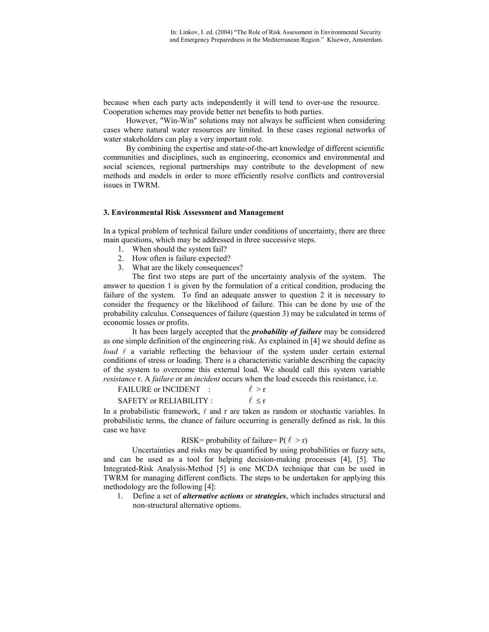because when each party acts independently it will tend to over-use the resource. Cooperation schemes may provide better net benefits to both parties.

However, "Win-Win" solutions may not always be sufficient when considering cases where natural water resources are limited. In these cases regional networks of water stakeholders can play a very important role.

 By combining the expertise and state-of-the-art knowledge of different scientific communities and disciplines, such as engineering, economics and environmental and social sciences, regional partnerships may contribute to the development of new methods and models in order to more efficiently resolve conflicts and controversial issues in TWRM.

### **3. Environmental Risk Assessment and Management**

In a typical problem of technical failure under conditions of uncertainty, there are three main questions, which may be addressed in three successive steps.

- 1. When should the system fail?
- 2. How often is failure expected?
- 3. What are the likely consequences?

 The first two steps are part of the uncertainty analysis of the system. The answer to question 1 is given by the formulation of a critical condition, producing the failure of the system. To find an adequate answer to question 2 it is necessary to consider the frequency or the likelihood of failure. This can be done by use of the probability calculus. Consequences of failure (question 3) may be calculated in terms of economic losses or profits.

 It has been largely accepted that the *probability of failure* may be considered as one simple definition of the engineering risk. As explained in [4] we should define as *load*  $\ell$  a variable reflecting the behaviour of the system under certain external conditions of stress or loading. There is a characteristic variable describing the capacity of the system to overcome this external load. We should call this system variable *resistance* r. A *failure* or an *incident* occurs when the load exceeds this resistance, i.e.

| <b>FAILURE or INCIDENT</b> | $l'$ > r |
|----------------------------|----------|
| $S$ AFETY or RELIABILITY : | l < r    |

In a probabilistic framework,  $\ell$  and r are taken as random or stochastic variables. In probabilistic terms, the chance of failure occurring is generally defined as risk. In this case we have

#### RISK= probability of failure=  $P(\ell > r)$

 Uncertainties and risks may be quantified by using probabilities or fuzzy sets, and can be used as a tool for helping decision-making processes [4], [5]. The Integrated-Risk Analysis-Method [5] is one MCDA technique that can be used in TWRM for managing different conflicts. The steps to be undertaken for applying this methodology are the following [4]:

1. Define a set of *alternative actions* or *strategies*, which includes structural and non-structural alternative options.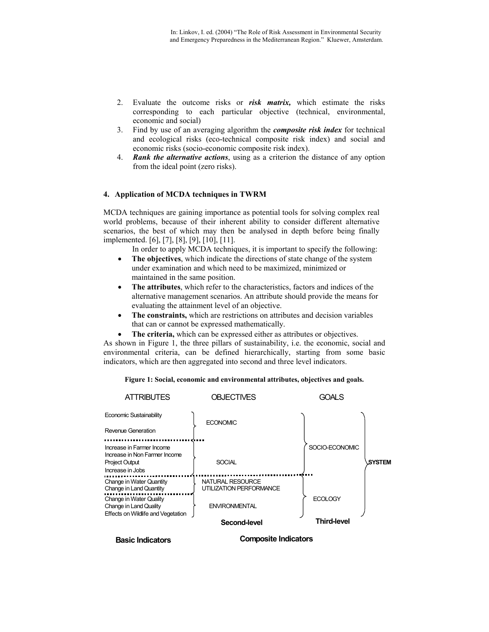- 2. Evaluate the outcome risks or *risk matrix,* which estimate the risks corresponding to each particular objective (technical, environmental, economic and social)
- 3. Find by use of an averaging algorithm the *composite risk index* for technical and ecological risks (eco-technical composite risk index) and social and economic risks (socio-economic composite risk index).
- 4. *Rank the alternative actions*, using as a criterion the distance of any option from the ideal point (zero risks).

# **4. Application of MCDA techniques in TWRM**

MCDA techniques are gaining importance as potential tools for solving complex real world problems, because of their inherent ability to consider different alternative scenarios, the best of which may then be analysed in depth before being finally implemented. [6], [7], [8], [9], [10], [11].

In order to apply MCDA techniques, it is important to specify the following:

- **The objectives**, which indicate the directions of state change of the system under examination and which need to be maximized, minimized or maintained in the same position.
- **The attributes**, which refer to the characteristics, factors and indices of the alternative management scenarios. An attribute should provide the means for evaluating the attainment level of an objective.
- The constraints, which are restrictions on attributes and decision variables that can or cannot be expressed mathematically.
- The criteria, which can be expressed either as attributes or objectives.

As shown in Figure 1, the three pillars of sustainability, i.e. the economic, social and environmental criteria, can be defined hierarchically, starting from some basic indicators, which are then aggregated into second and three level indicators.

#### **Figure 1: Social, economic and environmental attributes, objectives and goals.**



**Basic Indicators Composite Indicators**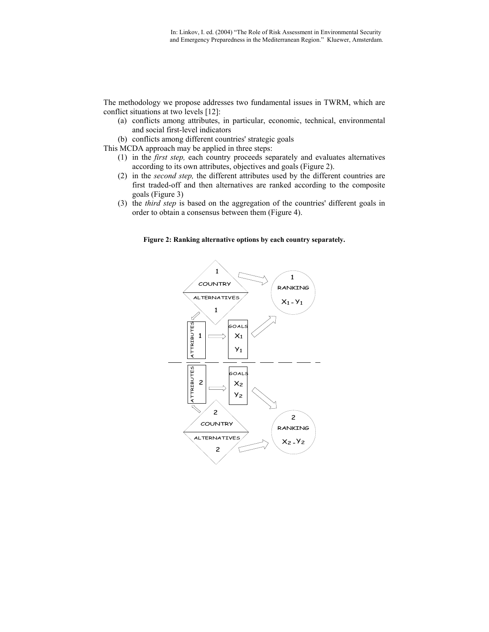The methodology we propose addresses two fundamental issues in TWRM, which are conflict situations at two levels [12]:

- (a) conflicts among attributes, in particular, economic, technical, environmental and social first-level indicators
- (b) conflicts among different countries' strategic goals

This MCDA approach may be applied in three steps:

- (1) in the *first step,* each country proceeds separately and evaluates alternatives according to its own attributes, objectives and goals (Figure 2).
- (2) in the *second step,* the different attributes used by the different countries are first traded-off and then alternatives are ranked according to the composite goals (Figure 3)
- (3) the *third step* is based on the aggregation of the countries' different goals in order to obtain a consensus between them (Figure 4).

**Figure 2: Ranking alternative options by each country separately.** 

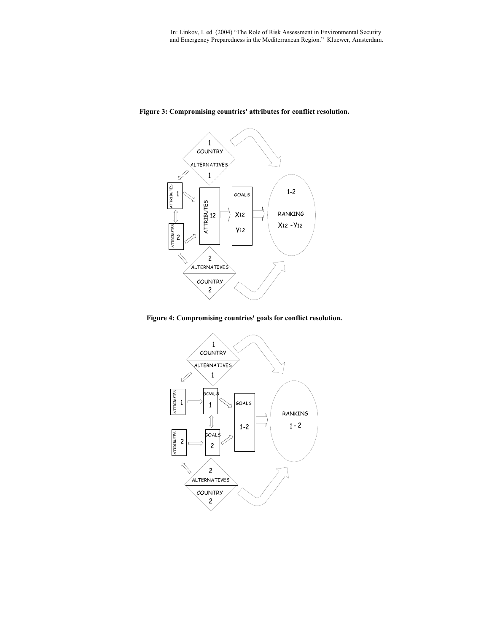

**Figure 3: Compromising countries' attributes for conflict resolution.** 

**Figure 4: Compromising countries' goals for conflict resolution.** 

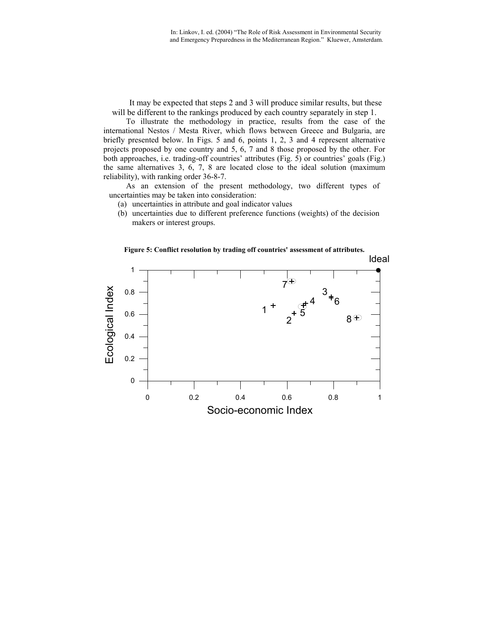It may be expected that steps 2 and 3 will produce similar results, but these will be different to the rankings produced by each country separately in step 1.

 To illustrate the methodology in practice, results from the case of the international Nestos / Mesta River, which flows between Greece and Bulgaria, are briefly presented below. In Figs. 5 and 6, points 1, 2, 3 and 4 represent alternative projects proposed by one country and 5, 6, 7 and 8 those proposed by the other. For both approaches, i.e. trading-off countries' attributes (Fig. 5) or countries' goals (Fig.) the same alternatives 3, 6, 7, 8 are located close to the ideal solution (maximum reliability), with ranking order 36-8-7.

As an extension of the present methodology, two different types of uncertainties may be taken into consideration:

- (a) uncertainties in attribute and goal indicator values
- (b) uncertainties due to different preference functions (weights) of the decision makers or interest groups.



**Figure 5: Conflict resolution by trading off countries' assessment of attributes.**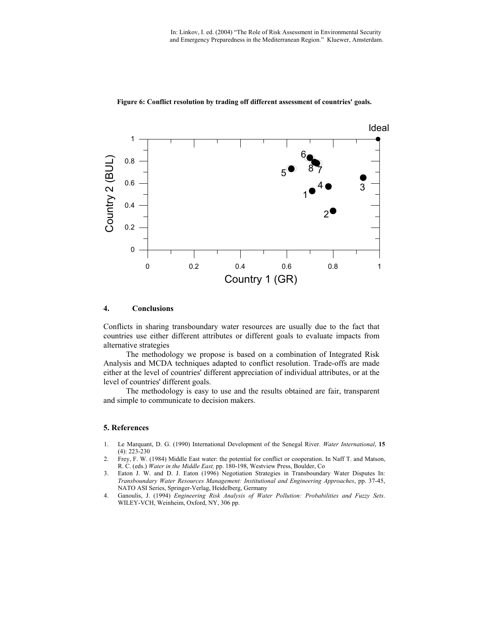



#### **4. Conclusions**

Conflicts in sharing transboundary water resources are usually due to the fact that countries use either different attributes or different goals to evaluate impacts from alternative strategies

 The methodology we propose is based on a combination of Integrated Risk Analysis and MCDA techniques adapted to conflict resolution. Trade-offs are made either at the level of countries' different appreciation of individual attributes, or at the level of countries' different goals.

 The methodology is easy to use and the results obtained are fair, transparent and simple to communicate to decision makers.

#### **5. References**

- 1. Le Marquant, D. G. (1990) International Development of the Senegal River. *Water International*, **15** (4): 223-230
- 2. Frey, F. W. (1984) Middle East water: the potential for conflict or cooperation. In Naff T. and Matson, R. C. (eds.) *Water in the Middle East,* pp. 180-198, Westview Press, Boulder, Co
- 3. Eaton J. W. and D. J. Eaton (1996) Negotiation Strategies in Transboundary Water Disputes In: *Transboundary Water Resources Management: Institutional and Engineering Approaches*, pp. 37-45, NATO ASI Series, Springer-Verlag, Heidelberg, Germany
- 4. Ganoulis, J. (1994) *Engineering Risk Analysis of Water Pollution: Probabilities and Fuzzy Sets*. WILEY-VCH, Weinheim, Oxford, NY, 306 pp.